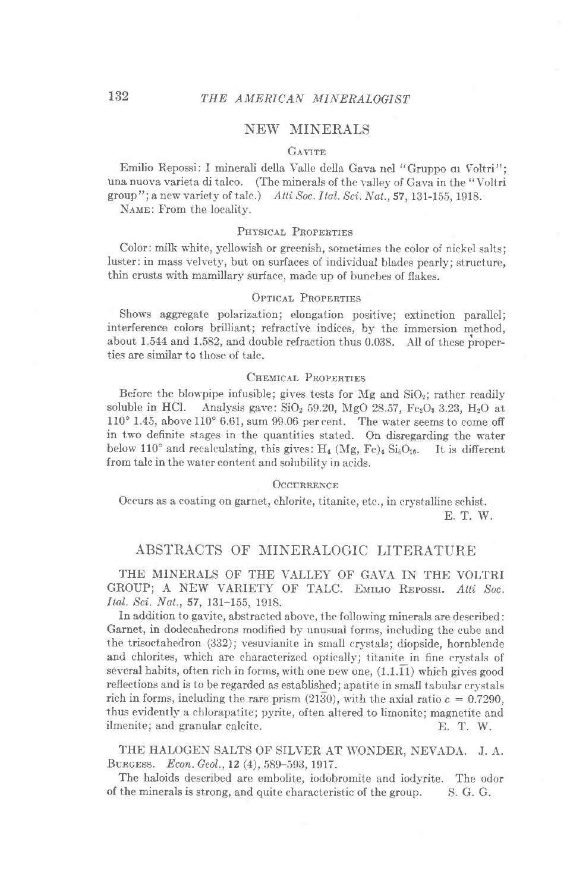# NEW MINERALS

#### GAVITE

Emilio Repossi: I minerali della Valle della Gava nel "Gruppo qu Voltri"; una nuova varieta di talco. (The minerals of the valley of Gava in the "Voltri group"; a new variety of talc.) Atti Soc. Ital. Sci. Nat.,  $57$ , 131-155, 1918.

NAME: From the locality.

## PHYSICAL PROPERTIES

Color: milk white, yellowish or greenish, sometimes the color of nickel salts; luster: in mass velvety, but on surfaces of individual blades pearly; structure, thin crusts with mamillary surface, made up of bunches of flakes.

### OPTICAL PROPERTIES

Shows aggregate polarization; elongation positive; extinction parallel; interference colors brilliant; refractive indices, by the immersion method, about 1.544 and 1.582, and double refraction thus 0.038. All of these properties are similar to those of talc.

### CHEMICAL PROPERTIES

Before the blowpipe infusible; gives tests for Mg and  $SiO<sub>2</sub>$ ; rather readily soluble in HCl. Analysis gave:  $SiO<sub>2</sub> 59.20$ , MgO 28.57, Fe<sub>2</sub>O<sub>3</sub> 3.23, H<sub>2</sub>O at  $110^{\circ}$  1.45, above  $110^{\circ}$  6.61, sum 99.06 per cent. The water seems to come off in two definite stages in the quantities stated. On disregarding the water below 110<sup>o</sup> and recalculating, this gives:  $H_4$  (Mg, Fe)<sub>4</sub> Si<sub>5</sub>O<sub>16</sub>. It is different from talc in the water content and solubility in acids.

#### **OCCURRENCE**

Occurs as a coating on garnet, chlorite, titanite, etc., in crystalline schist. E. T. W.

## ABSTRACTS OF MINERALOGIC LITERATURE

## THE MINERALS OF THE VALLEY OF GAVA IN THE VOLTRI GROUP; A NEW VARIETY OF TALC. EMILIO REPOSSI. Atti Soc. Ital. Sci. Nat.,57,131-155, 1918.

In addition to gavite, abstracted above, the following minerals are described: Garnet, in dodecahedrons modified by unusuai forms, including the cube and the trisoctahedron (332); vesuvianite in small crystals; diopside, hornblende and chlorites, which are characterized optically; titanite in fine crystals of several habits, often rich in forms, with one new one,  $(1.1.11)$  which gives good reflections and is to be regarded as established; apatite in small tabular crystals rich in forms, including the rare prism (2130), with the axial ratio  $c = 0.7290$ , thus evidently a chlorapatite; pyrite, often altered to limonite; magnetite and ilmenite; and granular calcite. T. W.

THE HALOGEN SALTS OF SILVER AT WONDER, NEVADA. J. A. BURGESS. Econ. Geol., 12 (4), 589-593, 1917.

The haloids described are embolite, iodobromite and iodyrite. The odor of the minerals is strong, and quite characteristic of the group. S. G. G.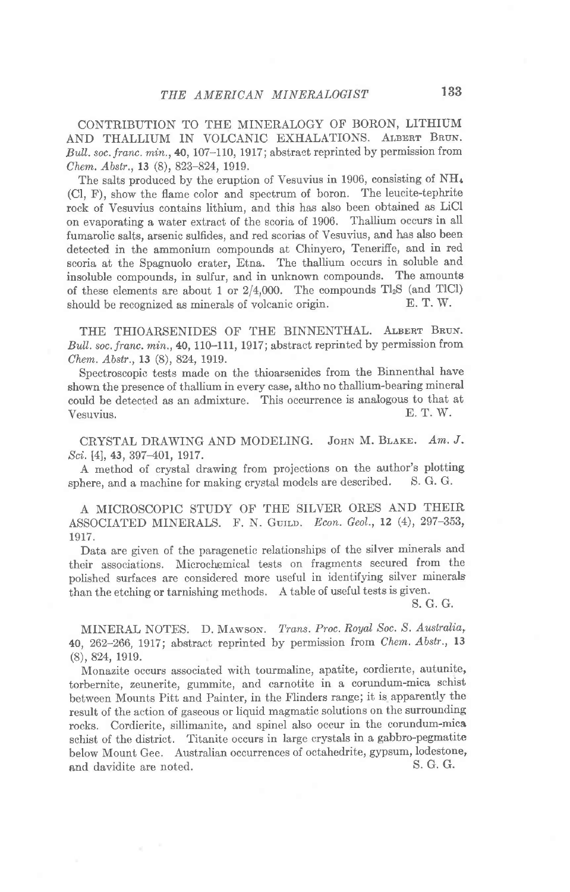CONTRIBUTION TO THE MINERALOGY OF BORON, LITHIUM AND THALLIUM IN VOLCANIC EXHALATIONS. ALBERT BRUN. Bull. soc. franc. min., 40, 107-110, 1917; abstract reprinted by permission from Chem. Abstr., 13 (8), 823-824, 1919.

The salts produced by the eruption of Vesuvius in 1906, consisting of NH<sub>4</sub> (Cl, F), show the flame color and spectrum of boron. The leucite-tephrite rock of Vesuvius contains lithium, and this has also been obtained as LiCl on evaporating a water extract of the scoria of 1906. Thallium occurs in all fumarolic salts, arsenic sulfides, and red scorias of Vesuvius, and has also been detected in the ammonium compounds at Chinyero, Tenerifie, and in red scoria at the Spagnuolo crater, Etna. The thallium occurs in soluble and insoluble compounds, in sulfur, and in unknown compounds. The amounta of these elements are about 1 or  $2/4,000$ . The compounds  $Tl_2S$  (and TlCl) should be recognized as minerals of volcanic origin. E. T. W.

THE THIOARSENIDES OF THE BINNENTHAL. ALBERT BRUN. Bull. soc. franc. min., 40, 110-111, 1917; abstract reprinted by permission from Chem. Abstr., 13 (8), 824, 1919.

Spectroscopic tests made on the thioarsenides from the Binnenthal have shown the presence of thallium in every case, altho no thallium-bearing mineral could be detected as an admixture. This occurrence is analogous to that at  $V_{\text{c}S}$  E. T. W. Vesuvius.

CRYSTAL DRAWING AND MODELING. JOHN M. BLAKE. Am. J. Sci. [4], 43, 397-401, 1917.

A method of crystal drawing from projections on the author's plotting<br>here, and a machine for making crystal models are described. S. G. G. sphere, and a machine for making crystal models are described.

A MICROSCOPIC STUDY OF THE SILVER ORES AND THEIR ASSOCIATED MINERALS. F. N. GUILD. Econ. Geol., 12 (4), 297-353, 1917.

Data are given of the paragenetic relationships of the silver minerals and their associations. Microchemical tests on fragments secured from the polished surfaces are considered more useful in identifying silver minerals than the etching or tarnishing methods. A table of useful tests is given.

S. G. G.

MINERAL NOTES. D. MAWSON. Trans. Proc. Royal Soc. S. Australia, 40, 262-266, 1917; abstract reprinted by permission from Chem. Abstr., 13 (8),824, 1919.

Monazite occurs associated with tourmaline, apatite, cordierrte, autunite, torbernite, zeunerite, gummite, and carnotite in a corundum-mica schist between Mounts Pitt and Painter, in the Flinders range; it is apparently the result of the action of gaseous or liquid magmatic solutions on the surrounding rocks. Cordierite, sillimanite, and spinel also occur in the corundum-mica schist of the district. Titanite occurs in large crystals in a gabbro-pegmatite below Mount Gee. Australian occurrences of octahedrite, gypsum, lodestone, and davidite are noted and davidite are noted.